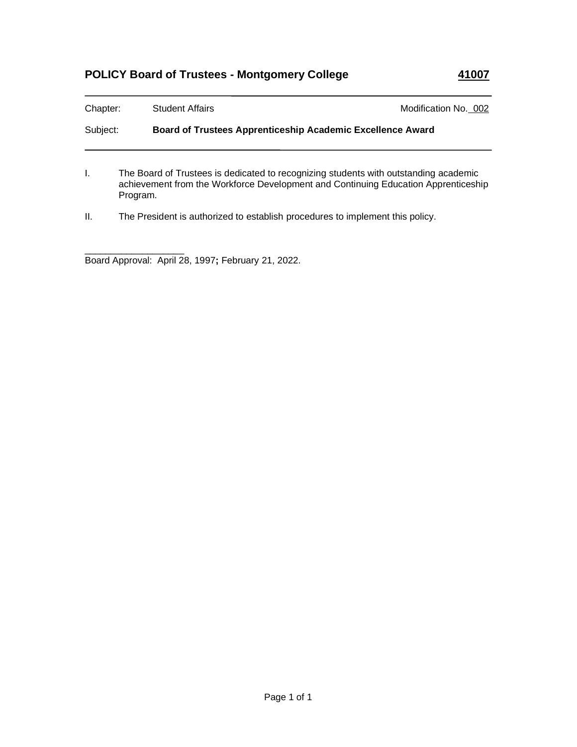## **POLICY Board of Trustees - Montgomery College 41007**

| Chapter: | <b>Student Affairs</b>                                                               | Modification No. 002                                              |  |  |
|----------|--------------------------------------------------------------------------------------|-------------------------------------------------------------------|--|--|
| Subject: |                                                                                      | <b>Board of Trustees Apprenticeship Academic Excellence Award</b> |  |  |
|          | The Board of Trustees is dedicated to recognizing students with outstanding academic |                                                                   |  |  |

achievement from the Workforce Development and Continuing Education Apprenticeship

Program.

II. The President is authorized to establish procedures to implement this policy.

\_\_\_\_\_\_\_\_\_\_\_\_\_\_\_\_\_\_\_ Board Approval: April 28, 1997**;** February 21, 2022.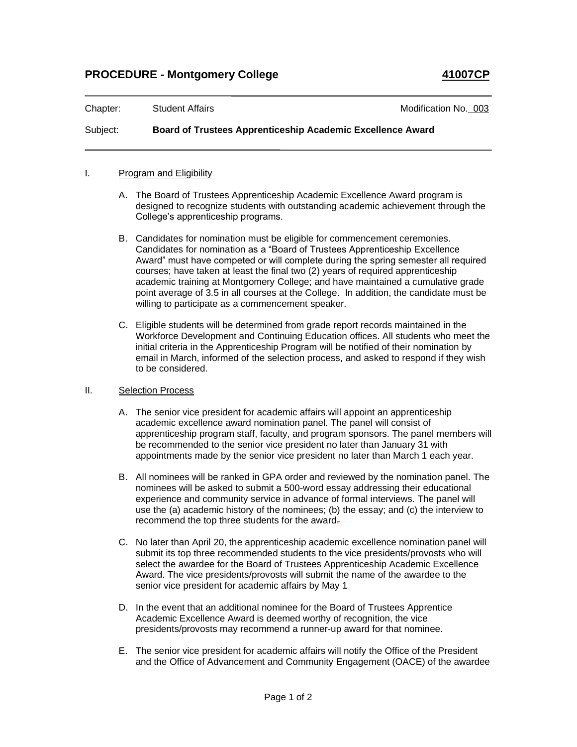| Chapter: | <b>Student Affairs</b>                                            | Modification No. 003 |  |
|----------|-------------------------------------------------------------------|----------------------|--|
| Subject: | <b>Board of Trustees Apprenticeship Academic Excellence Award</b> |                      |  |

## I. Program and Eligibility

- A. The Board of Trustees Apprenticeship Academic Excellence Award program is designed to recognize students with outstanding academic achievement through the College's apprenticeship programs.
- B. Candidates for nomination must be eligible for commencement ceremonies. Candidates for nomination as a "Board of Trustees Apprenticeship Excellence Award" must have competed or will complete during the spring semester all required courses; have taken at least the final two (2) years of required apprenticeship academic training at Montgomery College; and have maintained a cumulative grade point average of 3.5 in all courses at the College. In addition, the candidate must be willing to participate as a commencement speaker.
- C. Eligible students will be determined from grade report records maintained in the Workforce Development and Continuing Education offices. All students who meet the initial criteria in the Apprenticeship Program will be notified of their nomination by email in March, informed of the selection process, and asked to respond if they wish to be considered.

## II. Selection Process

- A. The senior vice president for academic affairs will appoint an apprenticeship academic excellence award nomination panel. The panel will consist of apprenticeship program staff, faculty, and program sponsors. The panel members will be recommended to the senior vice president no later than January 31 with appointments made by the senior vice president no later than March 1 each year.
- B. All nominees will be ranked in GPA order and reviewed by the nomination panel. The nominees will be asked to submit a 500-word essay addressing their educational experience and community service in advance of formal interviews. The panel will use the (a) academic history of the nominees; (b) the essay; and (c) the interview to recommend the top three students for the award-
- C. No later than April 20, the apprenticeship academic excellence nomination panel will submit its top three recommended students to the vice presidents/provosts who will select the awardee for the Board of Trustees Apprenticeship Academic Excellence Award. The vice presidents/provosts will submit the name of the awardee to the senior vice president for academic affairs by May 1
- D. In the event that an additional nominee for the Board of Trustees Apprentice Academic Excellence Award is deemed worthy of recognition, the vice presidents/provosts may recommend a runner-up award for that nominee.
- E. The senior vice president for academic affairs will notify the Office of the President and the Office of Advancement and Community Engagement (OACE) of the awardee